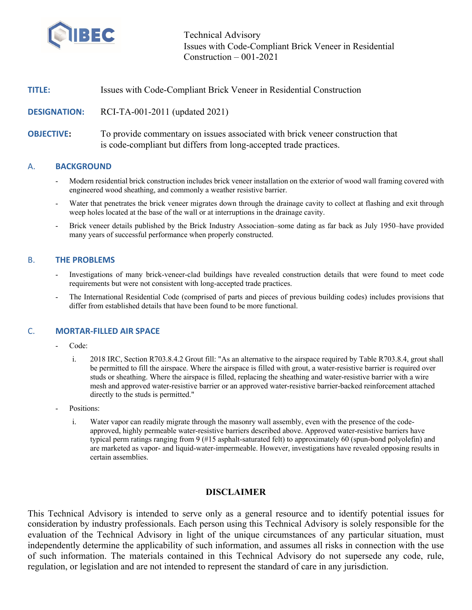

Technical Advisory Issues with Code-Compliant Brick Veneer in Residential Construction – 001-2021

| <b>TITLE:</b> | Issues with Code-Compliant Brick Veneer in Residential Construction |  |
|---------------|---------------------------------------------------------------------|--|
|               |                                                                     |  |

**DESIGNATION:** RCI-TA-001-2011 (updated 2021)

**OBJECTIVE:** To provide commentary on issues associated with brick veneer construction that is code-compliant but differs from long-accepted trade practices.

#### A. **BACKGROUND**

- Modern residential brick construction includes brick veneer installation on the exterior of wood wall framing covered with engineered wood sheathing, and commonly a weather resistive barrier.
- Water that penetrates the brick veneer migrates down through the drainage cavity to collect at flashing and exit through weep holes located at the base of the wall or at interruptions in the drainage cavity.
- Brick veneer details published by the Brick Industry Association–some dating as far back as July 1950–have provided many years of successful performance when properly constructed.

## B. **THE PROBLEMS**

- Investigations of many brick-veneer-clad buildings have revealed construction details that were found to meet code requirements but were not consistent with long-accepted trade practices.
- The International Residential Code (comprised of parts and pieces of previous building codes) includes provisions that differ from established details that have been found to be more functional.

## C. **MORTAR-FILLED AIR SPACE**

- Code:
	- i. 2018 IRC, Section R703.8.4.2 Grout fill: "As an alternative to the airspace required by Table R703.8.4, grout shall be permitted to fill the airspace. Where the airspace is filled with grout, a water-resistive barrier is required over studs or sheathing. Where the airspace is filled, replacing the sheathing and water-resistive barrier with a wire mesh and approved water-resistive barrier or an approved water-resistive barrier-backed reinforcement attached directly to the studs is permitted."
- Positions:
	- i. Water vapor can readily migrate through the masonry wall assembly, even with the presence of the codeapproved, highly permeable water-resistive barriers described above. Approved water-resistive barriers have typical perm ratings ranging from 9 (#15 asphalt-saturated felt) to approximately 60 (spun-bond polyolefin) and are marketed as vapor- and liquid-water-impermeable. However, investigations have revealed opposing results in certain assemblies.

## **DISCLAIMER**

This Technical Advisory is intended to serve only as a general resource and to identify potential issues for consideration by industry professionals. Each person using this Technical Advisory is solely responsible for the evaluation of the Technical Advisory in light of the unique circumstances of any particular situation, must independently determine the applicability of such information, and assumes all risks in connection with the use of such information. The materials contained in this Technical Advisory do not supersede any code, rule, regulation, or legislation and are not intended to represent the standard of care in any jurisdiction.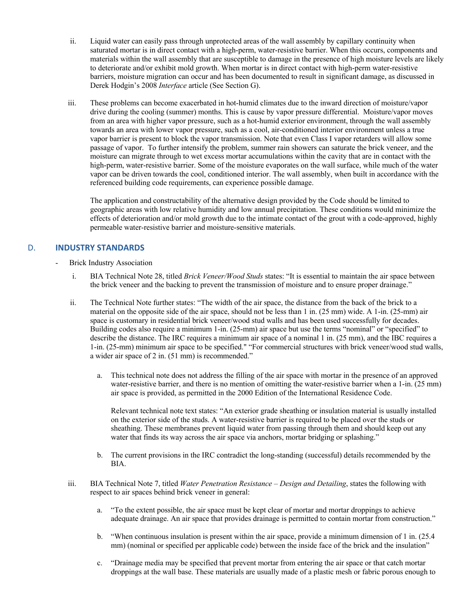- ii. Liquid water can easily pass through unprotected areas of the wall assembly by capillary continuity when saturated mortar is in direct contact with a high-perm, water-resistive barrier. When this occurs, components and materials within the wall assembly that are susceptible to damage in the presence of high moisture levels are likely to deteriorate and/or exhibit mold growth. When mortar is in direct contact with high-perm water-resistive barriers, moisture migration can occur and has been documented to result in significant damage, as discussed in Derek Hodgin's 2008 *Interface* article (See Section G).
- iii. These problems can become exacerbated in hot-humid climates due to the inward direction of moisture/vapor drive during the cooling (summer) months. This is cause by vapor pressure differential. Moisture/vapor moves from an area with higher vapor pressure, such as a hot-humid exterior environment, through the wall assembly towards an area with lower vapor pressure, such as a cool, air-conditioned interior environment unless a true vapor barrier is present to block the vapor transmission. Note that even Class I vapor retarders will allow some passage of vapor. To further intensify the problem, summer rain showers can saturate the brick veneer, and the moisture can migrate through to wet excess mortar accumulations within the cavity that are in contact with the high-perm, water-resistive barrier. Some of the moisture evaporates on the wall surface, while much of the water vapor can be driven towards the cool, conditioned interior. The wall assembly, when built in accordance with the referenced building code requirements, can experience possible damage.

The application and constructability of the alternative design provided by the Code should be limited to geographic areas with low relative humidity and low annual precipitation. These conditions would minimize the effects of deterioration and/or mold growth due to the intimate contact of the grout with a code-approved, highly permeable water-resistive barrier and moisture-sensitive materials.

# D. **INDUSTRY STANDARDS**

- Brick Industry Association
	- i. BIA Technical Note 28, titled *Brick Veneer/Wood Studs* states: "It is essential to maintain the air space between the brick veneer and the backing to prevent the transmission of moisture and to ensure proper drainage."
	- ii. The Technical Note further states: "The width of the air space, the distance from the back of the brick to a material on the opposite side of the air space, should not be less than 1 in. (25 mm) wide. A 1-in. (25-mm) air space is customary in residential brick veneer/wood stud walls and has been used successfully for decades. Building codes also require a minimum 1-in. (25-mm) air space but use the terms "nominal" or "specified" to describe the distance. The IRC requires a minimum air space of a nominal 1 in. (25 mm), and the IBC requires a 1-in. (25-mm) minimum air space to be specified." "For commercial structures with brick veneer/wood stud walls, a wider air space of 2 in. (51 mm) is recommended."
		- a. This technical note does not address the filling of the air space with mortar in the presence of an approved water-resistive barrier, and there is no mention of omitting the water-resistive barrier when a 1-in. (25 mm) air space is provided, as permitted in the 2000 Edition of the International Residence Code.

Relevant technical note text states: "An exterior grade sheathing or insulation material is usually installed on the exterior side of the studs. A water-resistive barrier is required to be placed over the studs or sheathing. These membranes prevent liquid water from passing through them and should keep out any water that finds its way across the air space via anchors, mortar bridging or splashing."

- b. The current provisions in the IRC contradict the long-standing (successful) details recommended by the BIA.
- iii. BIA Technical Note 7, titled *Water Penetration Resistance – Design and Detailing*, states the following with respect to air spaces behind brick veneer in general:
	- a. "To the extent possible, the air space must be kept clear of mortar and mortar droppings to achieve adequate drainage. An air space that provides drainage is permitted to contain mortar from construction."
	- b. "When continuous insulation is present within the air space, provide a minimum dimension of 1 in. (25.4 mm) (nominal or specified per applicable code) between the inside face of the brick and the insulation"
	- c. "Drainage media may be specified that prevent mortar from entering the air space or that catch mortar droppings at the wall base. These materials are usually made of a plastic mesh or fabric porous enough to